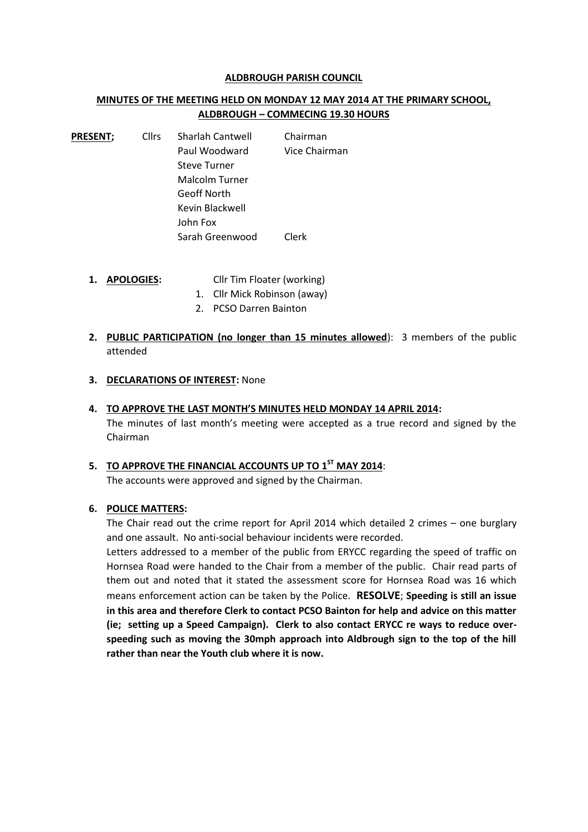#### **ALDBROUGH PARISH COUNCIL**

# **MINUTES OF THE MEETING HELD ON MONDAY 12 MAY 2014 AT THE PRIMARY SCHOOL, ALDBROUGH – COMMECING 19.30 HOURS**

**PRESENT;** Cllrs Sharlah Cantwell Chairman Paul Woodward Vice Chairman Steve Turner Malcolm Turner Geoff North Kevin Blackwell John Fox Sarah Greenwood Clerk

- **1. APOLOGIES:** Cllr Tim Floater (working)
	- 1. Cllr Mick Robinson (away)
	- 2. PCSO Darren Bainton
- **2. PUBLIC PARTICIPATION (no longer than 15 minutes allowed**): 3 members of the public attended
- **3. DECLARATIONS OF INTEREST:** None

#### **4. TO APPROVE THE LAST MONTH'S MINUTES HELD MONDAY 14 APRIL 2014:**

The minutes of last month's meeting were accepted as a true record and signed by the Chairman

**5. TO APPROVE THE FINANCIAL ACCOUNTS UP TO 1 ST MAY 2014**: The accounts were approved and signed by the Chairman.

### **6. POLICE MATTERS:**

The Chair read out the crime report for April 2014 which detailed 2 crimes – one burglary and one assault. No anti-social behaviour incidents were recorded.

Letters addressed to a member of the public from ERYCC regarding the speed of traffic on Hornsea Road were handed to the Chair from a member of the public. Chair read parts of them out and noted that it stated the assessment score for Hornsea Road was 16 which means enforcement action can be taken by the Police. **RESOLVE**; **Speeding is still an issue in this area and therefore Clerk to contact PCSO Bainton for help and advice on this matter (ie; setting up a Speed Campaign). Clerk to also contact ERYCC re ways to reduce over speeding such as moving the 30mph approach into Aldbrough sign to the top of the hill rather than near the Youth club where it is now.**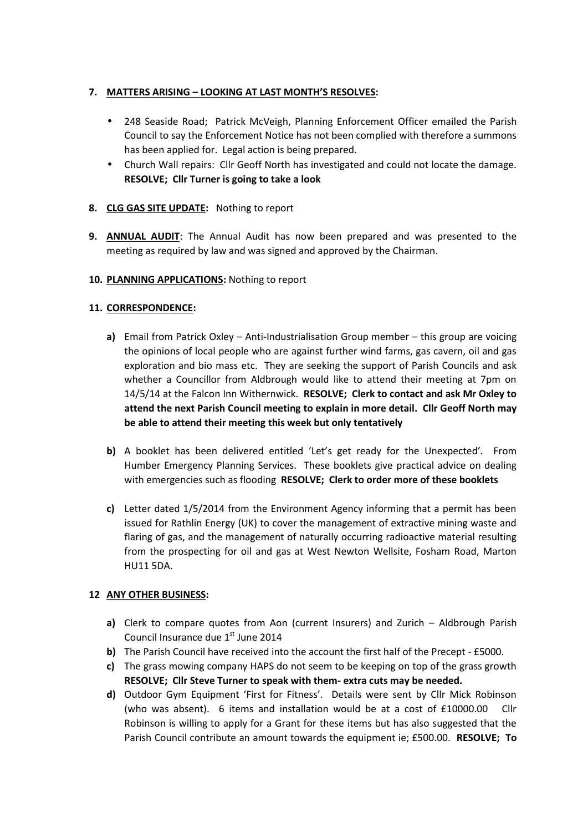# **7. MATTERS ARISING – LOOKING AT LAST MONTH'S RESOLVES:**

- 248 Seaside Road; Patrick McVeigh, Planning Enforcement Officer emailed the Parish Council to say the Enforcement Notice has not been complied with therefore a summons has been applied for. Legal action is being prepared.
- Church Wall repairs: Cllr Geoff North has investigated and could not locate the damage. **RESOLVE; Cllr Turner is going to take a look**

# **8. CLG GAS SITE UPDATE:** Nothing to report

**9. ANNUAL AUDIT**: The Annual Audit has now been prepared and was presented to the meeting as required by law and was signed and approved by the Chairman.

# **10. PLANNING APPLICATIONS:** Nothing to report

# **11. CORRESPONDENCE:**

- **a)** Email from Patrick Oxley Anti-Industrialisation Group member this group are voicing the opinions of local people who are against further wind farms, gas cavern, oil and gas exploration and bio mass etc. They are seeking the support of Parish Councils and ask whether a Councillor from Aldbrough would like to attend their meeting at 7pm on 14/5/14 at the Falcon Inn Withernwick. **RESOLVE; Clerk to contact and ask Mr Oxley to attend the next Parish Council meeting to explain in more detail. Cllr Geoff North may be able to attend their meeting this week but only tentatively**
- **b)** A booklet has been delivered entitled 'Let's get ready for the Unexpected'. From Humber Emergency Planning Services. These booklets give practical advice on dealing with emergencies such as flooding **RESOLVE; Clerk to order more of these booklets**
- **c)** Letter dated 1/5/2014 from the Environment Agency informing that a permit has been issued for Rathlin Energy (UK) to cover the management of extractive mining waste and flaring of gas, and the management of naturally occurring radioactive material resulting from the prospecting for oil and gas at West Newton Wellsite, Fosham Road, Marton HU11 5DA.

# **12 ANY OTHER BUSINESS:**

- **a)** Clerk to compare quotes from Aon (current Insurers) and Zurich Aldbrough Parish Council Insurance due  $1<sup>st</sup>$  June 2014
- **b)** The Parish Council have received into the account the first half of the Precept £5000.
- **c)** The grass mowing company HAPS do not seem to be keeping on top of the grass growth **RESOLVE; Cllr Steve Turner to speak with them- extra cuts may be needed.**
- **d)** Outdoor Gym Equipment 'First for Fitness'. Details were sent by Cllr Mick Robinson (who was absent). 6 items and installation would be at a cost of £10000.00 Cllr Robinson is willing to apply for a Grant for these items but has also suggested that the Parish Council contribute an amount towards the equipment ie; £500.00. **RESOLVE; To**